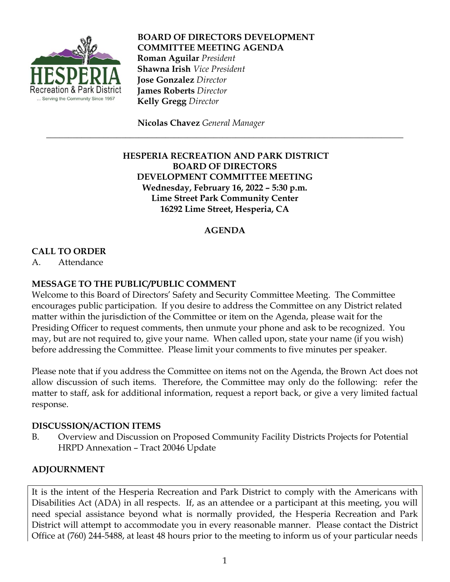

**BOARD OF DIRECTORS DEVELOPMENT COMMITTEE MEETING AGENDA Roman Aguilar** *President*  **Shawna Irish** *Vice President*  **Jose Gonzalez** *Director*  **James Roberts** *Director*  **Kelly Gregg** *Director*

 **Nicolas Chavez** *General Manager*

# **HESPERIA RECREATION AND PARK DISTRICT BOARD OF DIRECTORS DEVELOPMENT COMMITTEE MEETING Wednesday, February 16, 2022 – 5:30 p.m. Lime Street Park Community Center 16292 Lime Street, Hesperia, CA**

\_\_\_\_\_\_\_\_\_\_\_\_\_\_\_\_\_\_\_\_\_\_\_\_\_\_\_\_\_\_\_\_\_\_\_\_\_\_\_\_\_\_\_\_\_\_\_\_\_\_\_\_\_\_\_\_\_\_\_\_\_\_\_\_\_\_\_\_\_\_\_\_\_\_\_\_\_\_\_\_\_

# **AGENDA**

# **CALL TO ORDER**

A. Attendance

### **MESSAGE TO THE PUBLIC/PUBLIC COMMENT**

Welcome to this Board of Directors' Safety and Security Committee Meeting. The Committee encourages public participation. If you desire to address the Committee on any District related matter within the jurisdiction of the Committee or item on the Agenda, please wait for the Presiding Officer to request comments, then unmute your phone and ask to be recognized. You may, but are not required to, give your name. When called upon, state your name (if you wish) before addressing the Committee. Please limit your comments to five minutes per speaker.

Please note that if you address the Committee on items not on the Agenda, the Brown Act does not allow discussion of such items. Therefore, the Committee may only do the following: refer the matter to staff, ask for additional information, request a report back, or give a very limited factual response.

### **DISCUSSION/ACTION ITEMS**

B. Overview and Discussion on Proposed Community Facility Districts Projects for Potential HRPD Annexation – Tract 20046 Update

### **ADJOURNMENT**

It is the intent of the Hesperia Recreation and Park District to comply with the Americans with Disabilities Act (ADA) in all respects. If, as an attendee or a participant at this meeting, you will need special assistance beyond what is normally provided, the Hesperia Recreation and Park District will attempt to accommodate you in every reasonable manner. Please contact the District Office at (760) 244-5488, at least 48 hours prior to the meeting to inform us of your particular needs